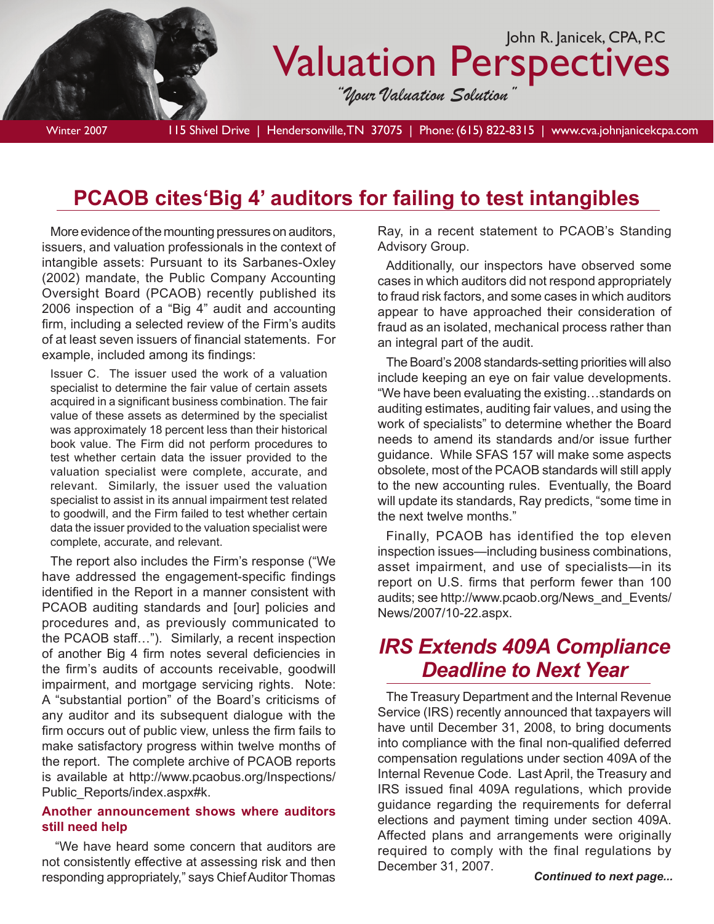

Winter 2007 115 Shivel Drive | Hendersonville, TN 37075 | Phone: (615) 822-8315 | www.cva.johnjanicekcpa.com

# **PCAOB cites'Big 4' auditors for failing to test intangibles**

More evidence of the mounting pressures on auditors, issuers, and valuation professionals in the context of intangible assets: Pursuant to its Sarbanes-Oxley (2002) mandate, the Public Company Accounting Oversight Board (PCAOB) recently published its 2006 inspection of a "Big 4" audit and accounting firm, including a selected review of the Firm's audits of at least seven issuers of financial statements. For example, included among its findings:

Issuer C. The issuer used the work of a valuation specialist to determine the fair value of certain assets acquired in a significant business combination. The fair value of these assets as determined by the specialist was approximately 18 percent less than their historical book value. The Firm did not perform procedures to test whether certain data the issuer provided to the valuation specialist were complete, accurate, and relevant. Similarly, the issuer used the valuation specialist to assist in its annual impairment test related to goodwill, and the Firm failed to test whether certain data the issuer provided to the valuation specialist were complete, accurate, and relevant.

The report also includes the Firm's response ("We have addressed the engagement-specific findings identified in the Report in a manner consistent with PCAOB auditing standards and [our] policies and procedures and, as previously communicated to the PCAOB staff…"). Similarly, a recent inspection of another Big 4 firm notes several deficiencies in the firm's audits of accounts receivable, goodwill impairment, and mortgage servicing rights. Note: A "substantial portion" of the Board's criticisms of any auditor and its subsequent dialogue with the firm occurs out of public view, unless the firm fails to make satisfactory progress within twelve months of the report. The complete archive of PCAOB reports is available at http://www.pcaobus.org/Inspections/ Public\_Reports/index.aspx#k.

#### **Another announcement shows where auditors still need help**

 "We have heard some concern that auditors are not consistently effective at assessing risk and then responding appropriately," says Chief Auditor Thomas Ray, in a recent statement to PCAOB's Standing Advisory Group.

Additionally, our inspectors have observed some cases in which auditors did not respond appropriately to fraud risk factors, and some cases in which auditors appear to have approached their consideration of fraud as an isolated, mechanical process rather than an integral part of the audit.

The Board's 2008 standards-setting priorities will also include keeping an eye on fair value developments. "We have been evaluating the existing…standards on auditing estimates, auditing fair values, and using the work of specialists" to determine whether the Board needs to amend its standards and/or issue further guidance. While SFAS 157 will make some aspects obsolete, most of the PCAOB standards will still apply to the new accounting rules. Eventually, the Board will update its standards, Ray predicts, "some time in the next twelve months."

Finally, PCAOB has identified the top eleven inspection issues—including business combinations, asset impairment, and use of specialists—in its report on U.S. firms that perform fewer than 100 audits; see http://www.pcaob.org/News\_and\_Events/ News/2007/10-22.aspx.

## *IRS Extends 409A Compliance Deadline to Next Year*

The Treasury Department and the Internal Revenue Service (IRS) recently announced that taxpayers will have until December 31, 2008, to bring documents into compliance with the final non-qualified deferred compensation regulations under section 409A of the Internal Revenue Code. Last April, the Treasury and IRS issued final 409A regulations, which provide guidance regarding the requirements for deferral elections and payment timing under section 409A. Affected plans and arrangements were originally required to comply with the final regulations by December 31, 2007.

*Continued to next page...*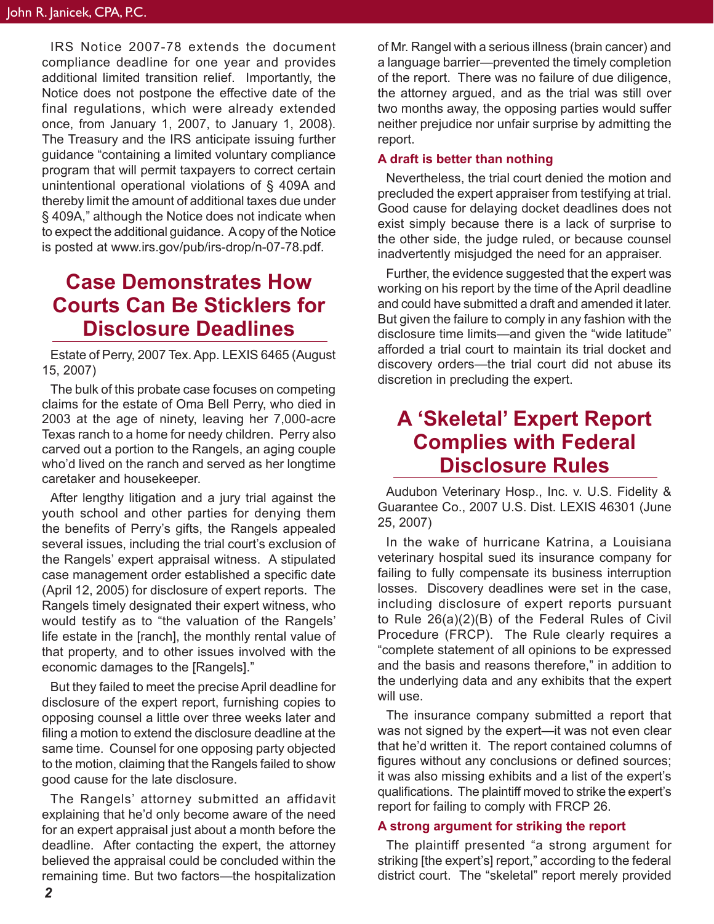IRS Notice 2007-78 extends the document compliance deadline for one year and provides additional limited transition relief. Importantly, the Notice does not postpone the effective date of the final regulations, which were already extended once, from January 1, 2007, to January 1, 2008). The Treasury and the IRS anticipate issuing further guidance "containing a limited voluntary compliance program that will permit taxpayers to correct certain unintentional operational violations of § 409A and thereby limit the amount of additional taxes due under § 409A," although the Notice does not indicate when to expect the additional guidance. A copy of the Notice is posted at www.irs.gov/pub/irs-drop/n-07-78.pdf.

### **Case Demonstrates How Courts Can Be Sticklers for Disclosure Deadlines**

Estate of Perry, 2007 Tex. App. LEXIS 6465 (August 15, 2007)

The bulk of this probate case focuses on competing claims for the estate of Oma Bell Perry, who died in 2003 at the age of ninety, leaving her 7,000-acre Texas ranch to a home for needy children. Perry also carved out a portion to the Rangels, an aging couple who'd lived on the ranch and served as her longtime caretaker and housekeeper.

After lengthy litigation and a jury trial against the youth school and other parties for denying them the benefits of Perry's gifts, the Rangels appealed several issues, including the trial court's exclusion of the Rangels' expert appraisal witness. A stipulated case management order established a specific date (April 12, 2005) for disclosure of expert reports. The Rangels timely designated their expert witness, who would testify as to "the valuation of the Rangels' life estate in the [ranch], the monthly rental value of that property, and to other issues involved with the economic damages to the [Rangels]."

But they failed to meet the precise April deadline for disclosure of the expert report, furnishing copies to opposing counsel a little over three weeks later and filing a motion to extend the disclosure deadline at the same time. Counsel for one opposing party objected to the motion, claiming that the Rangels failed to show good cause for the late disclosure.

The Rangels' attorney submitted an affidavit explaining that he'd only become aware of the need for an expert appraisal just about a month before the deadline. After contacting the expert, the attorney believed the appraisal could be concluded within the remaining time. But two factors—the hospitalization

of Mr. Rangel with a serious illness (brain cancer) and a language barrier—prevented the timely completion of the report. There was no failure of due diligence, the attorney argued, and as the trial was still over two months away, the opposing parties would suffer neither prejudice nor unfair surprise by admitting the report.

### **A draft is better than nothing**

Nevertheless, the trial court denied the motion and precluded the expert appraiser from testifying at trial. Good cause for delaying docket deadlines does not exist simply because there is a lack of surprise to the other side, the judge ruled, or because counsel inadvertently misjudged the need for an appraiser.

Further, the evidence suggested that the expert was working on his report by the time of the April deadline and could have submitted a draft and amended it later. But given the failure to comply in any fashion with the disclosure time limits—and given the "wide latitude" afforded a trial court to maintain its trial docket and discovery orders—the trial court did not abuse its discretion in precluding the expert.

### **A 'Skeletal' Expert Report Complies with Federal Disclosure Rules**

Audubon Veterinary Hosp., Inc. v. U.S. Fidelity & Guarantee Co., 2007 U.S. Dist. LEXIS 46301 (June 25, 2007)

In the wake of hurricane Katrina, a Louisiana veterinary hospital sued its insurance company for failing to fully compensate its business interruption losses. Discovery deadlines were set in the case, including disclosure of expert reports pursuant to Rule 26(a)(2)(B) of the Federal Rules of Civil Procedure (FRCP). The Rule clearly requires a "complete statement of all opinions to be expressed and the basis and reasons therefore," in addition to the underlying data and any exhibits that the expert will use.

The insurance company submitted a report that was not signed by the expert—it was not even clear that he'd written it. The report contained columns of figures without any conclusions or defined sources; it was also missing exhibits and a list of the expert's qualifications. The plaintiff moved to strike the expert's report for failing to comply with FRCP 26.

#### **A strong argument for striking the report**

The plaintiff presented "a strong argument for striking [the expert's] report," according to the federal district court. The "skeletal" report merely provided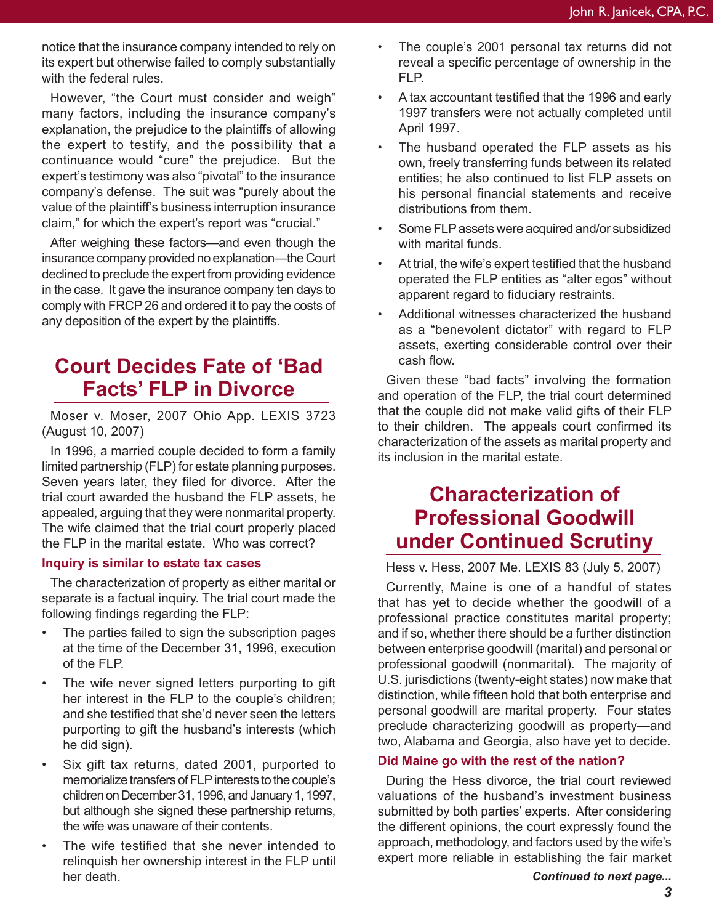notice that the insurance company intended to rely on its expert but otherwise failed to comply substantially with the federal rules.

However, "the Court must consider and weigh" many factors, including the insurance company's explanation, the prejudice to the plaintiffs of allowing the expert to testify, and the possibility that a continuance would "cure" the prejudice. But the expert's testimony was also "pivotal" to the insurance company's defense. The suit was "purely about the value of the plaintiff's business interruption insurance claim," for which the expert's report was "crucial."

After weighing these factors—and even though the insurance company provided no explanation—the Court declined to preclude the expert from providing evidence in the case. It gave the insurance company ten days to comply with FRCP 26 and ordered it to pay the costs of any deposition of the expert by the plaintiffs.

## **Court Decides Fate of 'Bad Facts' FLP in Divorce**

Moser v. Moser, 2007 Ohio App. LEXIS 3723 (August 10, 2007)

In 1996, a married couple decided to form a family limited partnership (FLP) for estate planning purposes. Seven years later, they filed for divorce. After the trial court awarded the husband the FLP assets, he appealed, arguing that they were nonmarital property. The wife claimed that the trial court properly placed the FLP in the marital estate. Who was correct?

#### **Inquiry is similar to estate tax cases**

The characterization of property as either marital or separate is a factual inquiry. The trial court made the following findings regarding the FLP:

- The parties failed to sign the subscription pages at the time of the December 31, 1996, execution of the FLP.
- The wife never signed letters purporting to gift her interest in the FLP to the couple's children; and she testified that she'd never seen the letters purporting to gift the husband's interests (which he did sign).
- Six gift tax returns, dated 2001, purported to memorialize transfers of FLP interests to the couple's children on December 31, 1996, and January 1, 1997, but although she signed these partnership returns, the wife was unaware of their contents.
- The wife testified that she never intended to relinquish her ownership interest in the FLP until her death.
- The couple's 2001 personal tax returns did not reveal a specific percentage of ownership in the FLP.
- A tax accountant testified that the 1996 and early 1997 transfers were not actually completed until April 1997.
- The husband operated the FLP assets as his own, freely transferring funds between its related entities; he also continued to list FLP assets on his personal financial statements and receive distributions from them.
- Some FLP assets were acquired and/or subsidized with marital funds.
- At trial, the wife's expert testified that the husband operated the FLP entities as "alter egos" without apparent regard to fiduciary restraints.
- Additional witnesses characterized the husband as a "benevolent dictator" with regard to FLP assets, exerting considerable control over their cash flow.

Given these "bad facts" involving the formation and operation of the FLP, the trial court determined that the couple did not make valid gifts of their FLP to their children. The appeals court confirmed its characterization of the assets as marital property and its inclusion in the marital estate.

# **Characterization of Professional Goodwill under Continued Scrutiny**

Hess v. Hess, 2007 Me. LEXIS 83 (July 5, 2007)

Currently, Maine is one of a handful of states that has yet to decide whether the goodwill of a professional practice constitutes marital property; and if so, whether there should be a further distinction between enterprise goodwill (marital) and personal or professional goodwill (nonmarital). The majority of U.S. jurisdictions (twenty-eight states) now make that distinction, while fifteen hold that both enterprise and personal goodwill are marital property. Four states preclude characterizing goodwill as property—and two, Alabama and Georgia, also have yet to decide.

### **Did Maine go with the rest of the nation?**

During the Hess divorce, the trial court reviewed valuations of the husband's investment business submitted by both parties' experts. After considering the different opinions, the court expressly found the approach, methodology, and factors used by the wife's expert more reliable in establishing the fair market